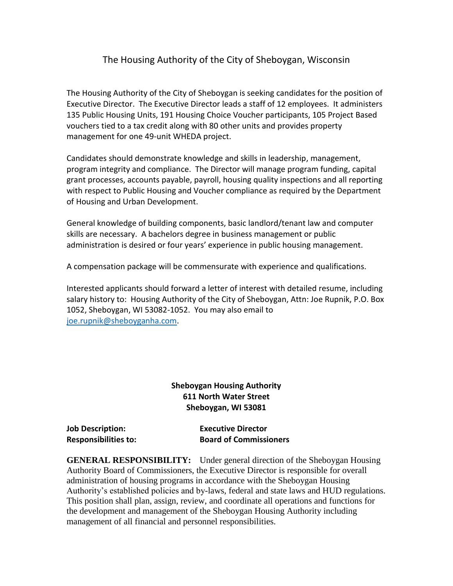## The Housing Authority of the City of Sheboygan, Wisconsin

The Housing Authority of the City of Sheboygan is seeking candidates for the position of Executive Director. The Executive Director leads a staff of 12 employees. It administers 135 Public Housing Units, 191 Housing Choice Voucher participants, 105 Project Based vouchers tied to a tax credit along with 80 other units and provides property management for one 49-unit WHEDA project.

Candidates should demonstrate knowledge and skills in leadership, management, program integrity and compliance. The Director will manage program funding, capital grant processes, accounts payable, payroll, housing quality inspections and all reporting with respect to Public Housing and Voucher compliance as required by the Department of Housing and Urban Development.

General knowledge of building components, basic landlord/tenant law and computer skills are necessary. A bachelors degree in business management or public administration is desired or four years' experience in public housing management.

A compensation package will be commensurate with experience and qualifications.

Interested applicants should forward a letter of interest with detailed resume, including salary history to: Housing Authority of the City of Sheboygan, Attn: Joe Rupnik, P.O. Box 1052, Sheboygan, WI 53082-1052. You may also email to [joe.rupnik@sheboyganha.com.](mailto:joe.rupnik@sheboyganha.com)

## **Sheboygan Housing Authority 611 North Water Street Sheboygan, WI 53081**

| <b>Job Description:</b>     | <b>Executive Director</b>     |
|-----------------------------|-------------------------------|
| <b>Responsibilities to:</b> | <b>Board of Commissioners</b> |

**GENERAL RESPONSIBILITY:** Under general direction of the Sheboygan Housing Authority Board of Commissioners, the Executive Director is responsible for overall administration of housing programs in accordance with the Sheboygan Housing Authority's established policies and by-laws, federal and state laws and HUD regulations. This position shall plan, assign, review, and coordinate all operations and functions for the development and management of the Sheboygan Housing Authority including management of all financial and personnel responsibilities.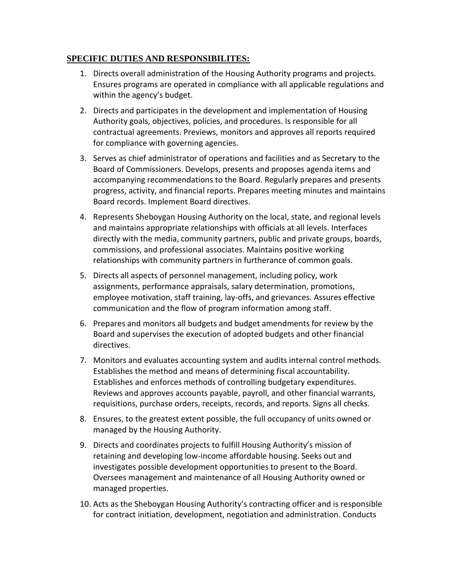## **SPECIFIC DUTIES AND RESPONSIBILITES:**

- 1. Directs overall administration of the Housing Authority programs and projects. Ensures programs are operated in compliance with all applicable regulations and within the agency's budget.
- 2. Directs and participates in the development and implementation of Housing Authority goals, objectives, policies, and procedures. Is responsible for all contractual agreements. Previews, monitors and approves all reports required for compliance with governing agencies.
- 3. Serves as chief administrator of operations and facilities and as Secretary to the Board of Commissioners. Develops, presents and proposes agenda items and accompanying recommendations to the Board. Regularly prepares and presents progress, activity, and financial reports. Prepares meeting minutes and maintains Board records. Implement Board directives.
- 4. Represents Sheboygan Housing Authority on the local, state, and regional levels and maintains appropriate relationships with officials at all levels. Interfaces directly with the media, community partners, public and private groups, boards, commissions, and professional associates. Maintains positive working relationships with community partners in furtherance of common goals.
- 5. Directs all aspects of personnel management, including policy, work assignments, performance appraisals, salary determination, promotions, employee motivation, staff training, lay-offs, and grievances. Assures effective communication and the flow of program information among staff.
- 6. Prepares and monitors all budgets and budget amendments for review by the Board and supervises the execution of adopted budgets and other financial directives.
- 7. Monitors and evaluates accounting system and audits internal control methods. Establishes the method and means of determining fiscal accountability. Establishes and enforces methods of controlling budgetary expenditures. Reviews and approves accounts payable, payroll, and other financial warrants, requisitions, purchase orders, receipts, records, and reports. Signs all checks.
- 8. Ensures, to the greatest extent possible, the full occupancy of units owned or managed by the Housing Authority.
- 9. Directs and coordinates projects to fulfill Housing Authority's mission of retaining and developing low-income affordable housing. Seeks out and investigates possible development opportunities to present to the Board. Oversees management and maintenance of all Housing Authority owned or managed properties.
- 10. Acts as the Sheboygan Housing Authority's contracting officer and is responsible for contract initiation, development, negotiation and administration. Conducts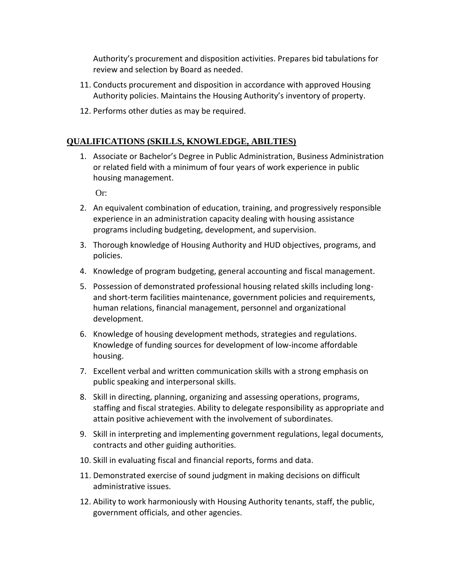Authority's procurement and disposition activities. Prepares bid tabulations for review and selection by Board as needed.

- 11. Conducts procurement and disposition in accordance with approved Housing Authority policies. Maintains the Housing Authority's inventory of property.
- 12. Performs other duties as may be required.

## **QUALIFICATIONS (SKILLS, KNOWLEDGE, ABILTIES)**

1. Associate or Bachelor's Degree in Public Administration, Business Administration or related field with a minimum of four years of work experience in public housing management.

Or:

- 2. An equivalent combination of education, training, and progressively responsible experience in an administration capacity dealing with housing assistance programs including budgeting, development, and supervision.
- 3. Thorough knowledge of Housing Authority and HUD objectives, programs, and policies.
- 4. Knowledge of program budgeting, general accounting and fiscal management.
- 5. Possession of demonstrated professional housing related skills including longand short-term facilities maintenance, government policies and requirements, human relations, financial management, personnel and organizational development.
- 6. Knowledge of housing development methods, strategies and regulations. Knowledge of funding sources for development of low-income affordable housing.
- 7. Excellent verbal and written communication skills with a strong emphasis on public speaking and interpersonal skills.
- 8. Skill in directing, planning, organizing and assessing operations, programs, staffing and fiscal strategies. Ability to delegate responsibility as appropriate and attain positive achievement with the involvement of subordinates.
- 9. Skill in interpreting and implementing government regulations, legal documents, contracts and other guiding authorities.
- 10. Skill in evaluating fiscal and financial reports, forms and data.
- 11. Demonstrated exercise of sound judgment in making decisions on difficult administrative issues.
- 12. Ability to work harmoniously with Housing Authority tenants, staff, the public, government officials, and other agencies.